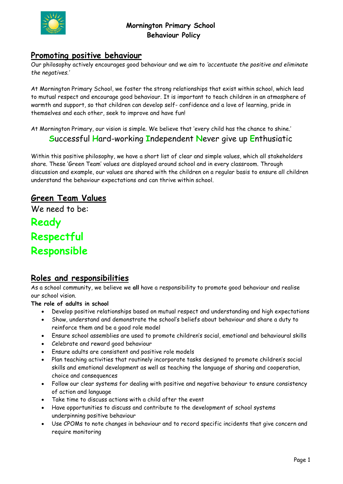

### **Promoting positive behaviour**

Our philosophy actively encourages good behaviour and we aim to *'accentuate the positive and eliminate the negatives.'*

At Mornington Primary School, we foster the strong relationships that exist within school, which lead to mutual respect and encourage good behaviour. It is important to teach children in an atmosphere of warmth and support, so that children can develop self- confidence and a love of learning, pride in themselves and each other, seek to improve and have fun!

At Mornington Primary, our vision is simple. We believe that 'every child has the chance to shine.' **S**uccessful **H**ard-working **I**ndependent **N**ever give up **E**nthusiatic

Within this positive philosophy, we have a short list of clear and simple values, which all stakeholders share. These 'Green Team' values are displayed around school and in every classroom. Through discussion and example, our values are shared with the children on a regular basis to ensure all children understand the behaviour expectations and can thrive within school.

# **Green Team Values**

We need to be:

**Ready Respectful Responsible**

### **Roles and responsibilities**

As a school community, we believe we **all** have a responsibility to promote good behaviour and realise our school vision.

#### **The role of adults in school**

- Develop positive relationships based on mutual respect and understanding and high expectations
- Show, understand and demonstrate the school's beliefs about behaviour and share a duty to reinforce them and be a good role model
- Ensure school assemblies are used to promote children's social, emotional and behavioural skills
- Celebrate and reward good behaviour
- Ensure adults are consistent and positive role models
- Plan teaching activities that routinely incorporate tasks designed to promote children's social skills and emotional development as well as teaching the language of sharing and cooperation, choice and consequences
- Follow our clear systems for dealing with positive and negative behaviour to ensure consistency of action and language
- Take time to discuss actions with a child after the event
- Have opportunities to discuss and contribute to the development of school systems underpinning positive behaviour
- Use CPOMs to note changes in behaviour and to record specific incidents that give concern and require monitoring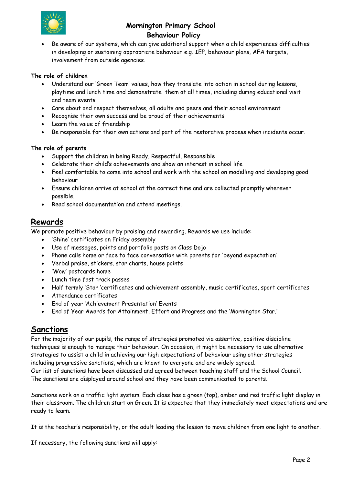

• Be aware of our systems, which can give additional support when a child experiences difficulties in developing or sustaining appropriate behaviour e.g. IEP, behaviour plans, AFA targets, involvement from outside agencies.

#### **The role of children**

- Understand our 'Green Team' values, how they translate into action in school during lessons, playtime and lunch time and demonstrate them at all times, including during educational visit and team events
- Care about and respect themselves, all adults and peers and their school environment
- Recognise their own success and be proud of their achievements
- Learn the value of friendship
- Be responsible for their own actions and part of the restorative process when incidents occur.

#### **The role of parents**

- Support the children in being Ready, Respectful, Responsible
- Celebrate their child's achievements and show an interest in school life
- Feel comfortable to come into school and work with the school on modelling and developing good behaviour
- Ensure children arrive at school at the correct time and are collected promptly wherever possible.
- Read school documentation and attend meetings.

### **Rewards**

We promote positive behaviour by praising and rewarding. Rewards we use include:

- 'Shine' certificates on Friday assembly
- Use of messages, points and portfolio posts on Class Dojo
- Phone calls home or face to face conversation with parents for 'beyond expectation'
- Verbal praise, stickers. star charts, house points
- 'Wow' postcards home
- Lunch time fast track passes
- Half termly 'Star 'certificates and achievement assembly, music certificates, sport certificates
- Attendance certificates
- End of year 'Achievement Presentation' Events
- End of Year Awards for Attainment, Effort and Progress and the 'Mornington Star.'

### **Sanctions**

For the majority of our pupils, the range of strategies promoted via assertive, positive discipline techniques is enough to manage their behaviour. On occasion, it might be necessary to use alternative strategies to assist a child in achieving our high expectations of behaviour using other strategies including progressive sanctions, which are known to everyone and are widely agreed.

Our list of sanctions have been discussed and agreed between teaching staff and the School Council. The sanctions are displayed around school and they have been communicated to parents.

Sanctions work on a traffic light system. Each class has a green (top), amber and red traffic light display in their classroom. The children start on Green. It is expected that they immediately meet expectations and are ready to learn.

It is the teacher's responsibility, or the adult leading the lesson to move children from one light to another.

If necessary, the following sanctions will apply: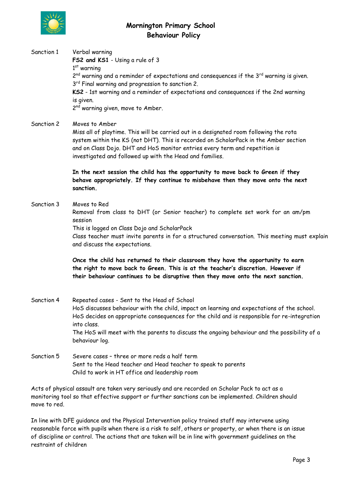

Sanction 1 Verbal warning **FS2 and KS1** - Using a rule of 3 1<sup>st</sup> warning 2<sup>nd</sup> warning and a reminder of expectations and consequences if the 3<sup>rd</sup> warning is given. 3<sup>rd</sup> Final warning and progression to sanction 2. **KS2** - 1st warning and a reminder of expectations and consequences if the 2nd warning is given. 2<sup>nd</sup> warning given, move to Amber.

Sanction 2 Moves to Amber

Miss all of playtime. This will be carried out in a designated room following the rota system within the KS (not DHT). This is recorded on ScholarPack in the Amber section and on Class Dojo. DHT and HoS monitor entries every term and repetition is investigated and followed up with the Head and families.

**In the next session the child has the opportunity to move back to Green if they behave appropriately. If they continue to misbehave then they move onto the next sanction.**

Sanction 3 Moves to Red

Removal from class to DHT (or Senior teacher) to complete set work for an am/pm session

This is logged on Class Dojo and ScholarPack

Class teacher must invite parents in for a structured conversation. This meeting must explain and discuss the expectations.

**Once the child has returned to their classroom they have the opportunity to earn the right to move back to Green. This is at the teacher's discretion. However if their behaviour continues to be disruptive then they move onto the next sanction.**

- Sanction 4 Repeated cases Sent to the Head of School HoS discusses behaviour with the child, impact on learning and expectations of the school. HoS decides on appropriate consequences for the child and is responsible for re-integration into class. The HoS will meet with the parents to discuss the ongoing behaviour and the possibility of a behaviour log.
- Sanction 5 Severe cases three or more reds a half term Sent to the Head teacher and Head teacher to speak to parents Child to work in HT office and leadership room

Acts of physical assault are taken very seriously and are recorded on Scholar Pack to act as a monitoring tool so that effective support or further sanctions can be implemented. Children should move to red.

In line with DFE guidance and the Physical Intervention policy trained staff may intervene using reasonable force with pupils when there is a risk to self, others or property, or when there is an issue of discipline or control. The actions that are taken will be in line with government guidelines on the restraint of children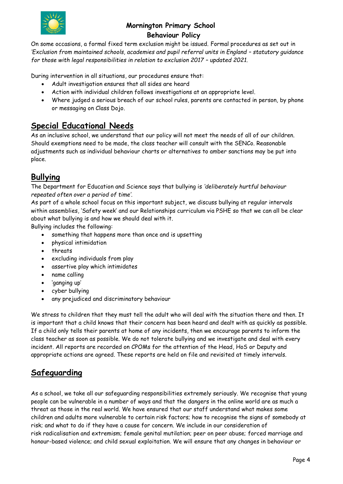

On some occasions, a formal fixed term exclusion might be issued. Formal procedures as set out in *'***Exclusion from maintained schools, academies and pupil referral units in England - statutory guidance** *for those with legal responsibilities in relation to exclusion 2017 – updated 2021.*

During intervention in all situations, our procedures ensure that:

- Adult investigation ensures that all sides are heard
- Action with individual children follows investigations at an appropriate level.
- Where judged a serious breach of our school rules, parents are contacted in person, by phone or messaging on Class Dojo.

# **Special Educational Needs**

As an inclusive school, we understand that our policy will not meet the needs of all of our children. Should exemptions need to be made, the class teacher will consult with the SENCo. Reasonable adjustments such as individual behaviour charts or alternatives to amber sanctions may be put into place.

# **Bullying**

The Department for Education and Science says that bullying is *'deliberately hurtful behaviour repeated often over a period of time'.*

As part of a whole school focus on this important subject, we discuss bullying at regular intervals within assemblies, 'Safety week' and our Relationships curriculum via PSHE so that we can all be clear about what bullying is and how we should deal with it.

Bullying includes the following:

- something that happens more than once and is upsetting
- physical intimidation
- threats
- excluding individuals from play
- assertive play which intimidates
- name calling
- 'ganging up'
- cyber bullying
- any prejudiced and discriminatory behaviour

We stress to children that they must tell the adult who will deal with the situation there and then. It is important that a child knows that their concern has been heard and dealt with as quickly as possible. If a child only tells their parents at home of any incidents, then we encourage parents to inform the class teacher as soon as possible. We do not tolerate bullying and we investigate and deal with every incident. All reports are recorded on CPOMs for the attention of the Head, HoS or Deputy and appropriate actions are agreed. These reports are held on file and revisited at timely intervals.

# **Safeguarding**

As a school, we take all our safeguarding responsibilities extremely seriously. We recognise that young people can be vulnerable in a number of ways and that the dangers in the online world are as much a threat as those in the real world. We have ensured that our staff understand what makes some children and adults more vulnerable to certain risk factors; how to recognise the signs of somebody at risk; and what to do if they have a cause for concern. We include in our consideration of risk radicalisation and extremism; female genital mutilation; peer on peer abuse; forced marriage and honour-based violence; and child sexual exploitation. We will ensure that any changes in behaviour or